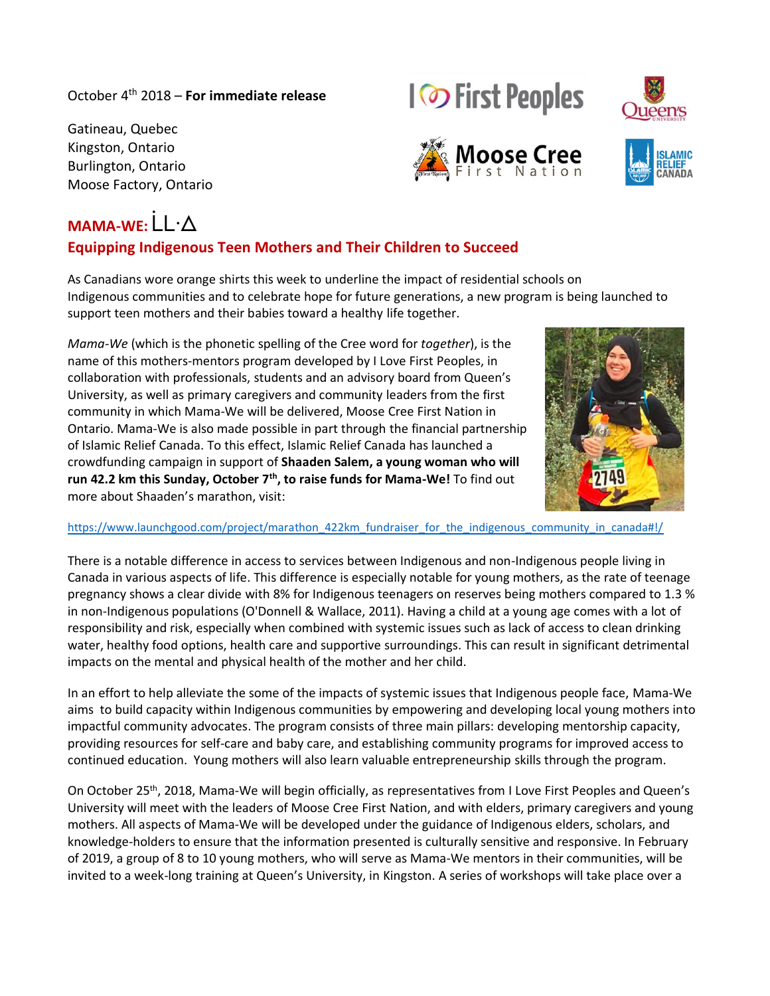### October 4 th 2018 – **For immediate release**

Gatineau, Quebec Kingston, Ontario Burlington, Ontario Moose Factory, Ontario

# MAMA-WF<sup>. |</sup>  $\cdot \wedge$

## **Equipping Indigenous Teen Mothers and Their Children to Succeed**

As Canadians wore orange shirts this week to underline the impact of residential schools on Indigenous communities and to celebrate hope for future generations, a new program is being launched to support teen mothers and their babies toward a healthy life together.

*Mama-We* (which is the phonetic spelling of the Cree word for *together*), is the name of this mothers-mentors program developed by I Love First Peoples, in collaboration with professionals, students and an advisory board from Queen's University, as well as primary caregivers and community leaders from the first community in which Mama-We will be delivered, Moose Cree First Nation in Ontario. Mama-We is also made possible in part through the financial partnership of Islamic Relief Canada. To this effect, Islamic Relief Canada has launched a crowdfunding campaign in support of **Shaaden Salem, a young woman who will run 42.2 km this Sunday, October 7th, to raise funds for Mama-We!** To find out more about Shaaden's marathon, visit:

#### https://www.launchgood.com/project/marathon 422km fundraiser for the indigenous community in canada#!/

There is a notable difference in access to services between Indigenous and non-Indigenous people living in Canada in various aspects of life. This difference is especially notable for young mothers, as the rate of teenage pregnancy shows a clear divide with 8% for Indigenous teenagers on reserves being mothers compared to 1.3 % in non-Indigenous populations (O'Donnell & Wallace, 2011). Having a child at a young age comes with a lot of responsibility and risk, especially when combined with systemic issues such as lack of access to clean drinking water, healthy food options, health care and supportive surroundings. This can result in significant detrimental impacts on the mental and physical health of the mother and her child.

In an effort to help alleviate the some of the impacts of systemic issues that Indigenous people face, Mama-We aims to build capacity within Indigenous communities by empowering and developing local young mothers into impactful community advocates. The program consists of three main pillars: developing mentorship capacity, providing resources for self-care and baby care, and establishing community programs for improved access to continued education. Young mothers will also learn valuable entrepreneurship skills through the program.

On October 25<sup>th</sup>, 2018, Mama-We will begin officially, as representatives from I Love First Peoples and Queen's University will meet with the leaders of Moose Cree First Nation, and with elders, primary caregivers and young mothers. All aspects of Mama-We will be developed under the guidance of Indigenous elders, scholars, and knowledge-holders to ensure that the information presented is culturally sensitive and responsive. In February of 2019, a group of 8 to 10 young mothers, who will serve as Mama-We mentors in their communities, will be invited to a week-long training at Queen's University, in Kingston. A series of workshops will take place over a







**IO** First Peoples